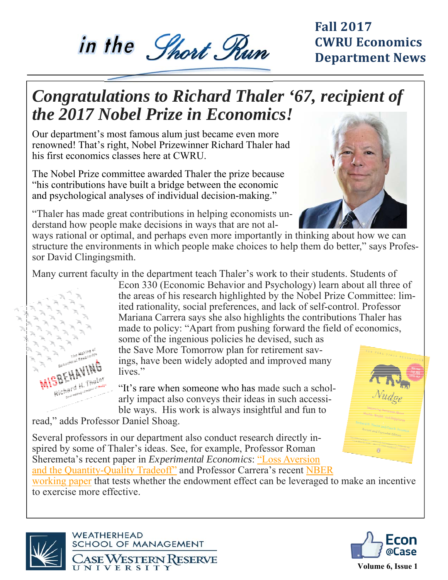# in the Short Run

#### **Fall 2017 CWRU Economics Department News**

## *Congratulations to Richard Thaler '67, recipient of the 2017 Nobel Prize in Economics!*

Our department's most famous alum just became even more renowned! That's right, Nobel Prizewinner Richard Thaler had his first economics classes here at CWRU.

The Nobel Prize committee awarded Thaler the prize because "his contributions have built a bridge between the economic and psychological analyses of individual decision-making."

"Thaler has made great contributions in helping economists understand how people make decisions in ways that are not al-



ways rational or optimal, and perhaps even more importantly in thinking about how we can structure the environments in which people make choices to help them do better," says Professor David Clingingsmith.

Many current faculty in the department teach Thaler's work to their students. Students of

Econ 330 (Economic Behavior and Psychology) learn about all three of the areas of his research highlighted by the Nobel Prize Committee: limited rationality, social preferences, and lack of self-control. Professor Mariana Carrera says she also highlights the contributions Thaler has made to policy: "Apart from pushing forward the field of economics,

some of the ingenious policies he devised, such as the Save More Tomorrow plan for retirement savings, have been widely adopted and improved many lives."

"It's rare when someone who has made such a scholarly impact also conveys their ideas in such accessible ways. His work is always insightful and fun to

read," adds Professor Daniel Shoag.

**MISBEHAVY** 

Richard H. Thater

Several professors in our department also conduct research directly inspired by some of Thaler's ideas. See, for example, Professor Roman Sheremeta's recent paper in *Experimental Economics*: "Loss Aversion and the Quantity-Quality Tradeoff" and Professor Carrera's recent NBER

working paper that tests whether the endowment effect can be leveraged to make an incentive to exercise more effective.





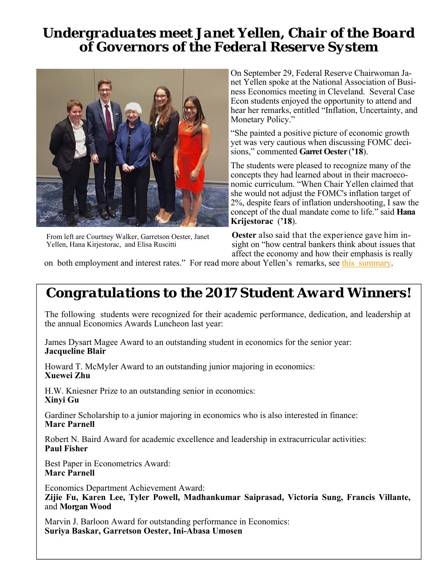#### *Undergraduates meet Janet Yellen, Chair of the Board of Governors of the Federal Reserve System*



From left are Courtney Walker, Garretson Oester, Janet Yellen, Hana Kirjestorac, and Elisa Ruscitti

On September 29, Federal Reserve Chairwoman Janet Yellen spoke at the National Association of Business Economics meeting in Cleveland. Several Case Econ students enjoyed the opportunity to attend and hear her remarks, entitled "Inflation, Uncertainty, and Monetary Policy."

"She painted a positive picture of economic growth yet was very cautious when discussing FOMC decisions," commented **Garret Oester** (**'18**).

The students were pleased to recognize many of the concepts they had learned about in their macroeconomic curriculum. "When Chair Yellen claimed that she would not adjust the FOMC's inflation target of 2%, despite fears of inflation undershooting, I saw the concept of the dual mandate come to life." said **Hana Krijestorac** (**'18**).

**Oester** also said that the experience gave him insight on "how central bankers think about issues that affect the economy and how their emphasis is really

on both employment and interest rates." For read more about Yellen's remarks, see this summary.

#### *Congratulations to the 2017 Student Award Winners!*

The following students were recognized for their academic performance, dedication, and leadership at the annual Economics Awards Luncheon last year:

James Dysart Magee Award to an outstanding student in economics for the senior year: **Jacqueline Blair**

Howard T. McMyler Award to an outstanding junior majoring in economics: **Xuewei Zhu**

H.W. Kniesner Prize to an outstanding senior in economics: **Xinyi Gu** 

Gardiner Scholarship to a junior majoring in economics who is also interested in finance: **Marc Parnell** 

Robert N. Baird Award for academic excellence and leadership in extracurricular activities: **Paul Fisher** 

Best Paper in Econometrics Award: **Marc Parnell** 

Economics Department Achievement Award: **Zijie Fu, Karen Lee, Tyler Powell, Madhankumar Saiprasad, Victoria Sung, Francis Villante,**  and **Morgan Wood** 

Marvin J. Barloon Award for outstanding performance in Economics: **Suriya Baskar, Garretson Oester, Ini-Abasa Umosen**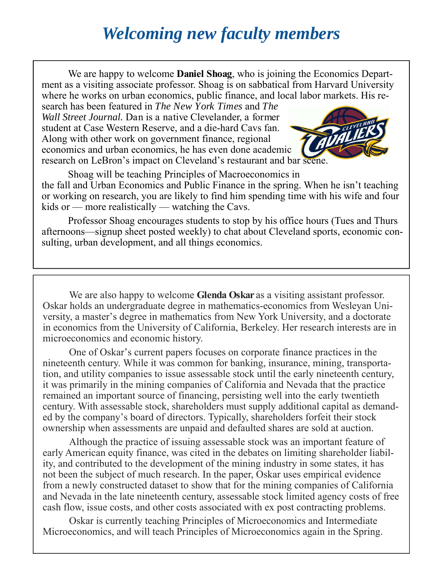## *Welcoming new faculty members*

We are happy to welcome **Daniel Shoag**, who is joining the Economics Department as a visiting associate professor. Shoag is on sabbatical from Harvard University where he works on urban economics, public finance, and local labor markets. His re-

search has been featured in *The New York Times* and *The Wall Street Journal.* Dan is a native Clevelander, a former student at Case Western Reserve, and a die-hard Cavs fan. Along with other work on government finance, regional economics and urban economics, he has even done academic research on LeBron's impact on Cleveland's restaurant and bar scene.



Shoag will be teaching Principles of Macroeconomics in the fall and Urban Economics and Public Finance in the spring. When he isn't teaching or working on research, you are likely to find him spending time with his wife and four kids or — more realistically — watching the Cavs.

Professor Shoag encourages students to stop by his office hours (Tues and Thurs afternoons—signup sheet posted weekly) to chat about Cleveland sports, economic consulting, urban development, and all things economics.

 We are also happy to welcome **Glenda Oskar** as a visiting assistant professor. Oskar holds an undergraduate degree in mathematics-economics from Wesleyan University, a master's degree in mathematics from New York University, and a doctorate in economics from the University of California, Berkeley. Her research interests are in microeconomics and economic history.

 One of Oskar's current papers focuses on corporate finance practices in the nineteenth century. While it was common for banking, insurance, mining, transportation, and utility companies to issue assessable stock until the early nineteenth century, it was primarily in the mining companies of California and Nevada that the practice remained an important source of financing, persisting well into the early twentieth century. With assessable stock, shareholders must supply additional capital as demanded by the company's board of directors. Typically, shareholders forfeit their stock ownership when assessments are unpaid and defaulted shares are sold at auction.

 Although the practice of issuing assessable stock was an important feature of early American equity finance, was cited in the debates on limiting shareholder liability, and contributed to the development of the mining industry in some states, it has not been the subject of much research. In the paper, Oskar uses empirical evidence from a newly constructed dataset to show that for the mining companies of California and Nevada in the late nineteenth century, assessable stock limited agency costs of free cash flow, issue costs, and other costs associated with ex post contracting problems.

 Oskar is currently teaching Principles of Microeconomics and Intermediate Microeconomics, and will teach Principles of Microeconomics again in the Spring.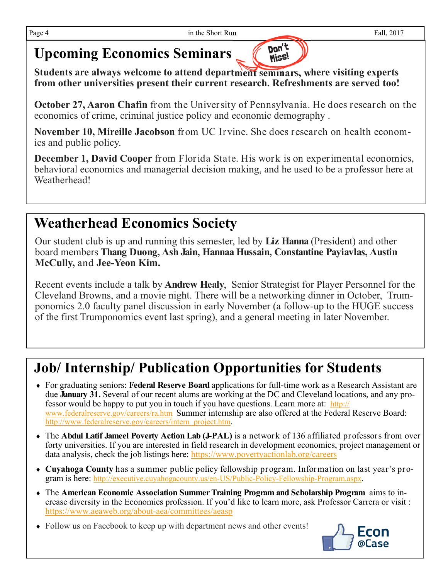#### **Upcoming Economics Seminars**

**Students are always welcome to attend department seminars, where visiting experts from other universities present their current research. Refreshments are served too!**

**October 27, Aaron Chafin** from the University of Pennsylvania. He does research on the economics of crime, criminal justice policy and economic demography .

Don't Miss!

**November 10, Mireille Jacobson** from UC Irvine. She does research on health economics and public policy.

**December 1, David Cooper** from Florida State. His work is on experimental economics, behavioral economics and managerial decision making, and he used to be a professor here at Weatherhead!

### **Weatherhead Economics Society**

Our student club is up and running this semester, led by **Liz Hanna** (President) and other board members **Thang Duong, Ash Jain, Hannaa Hussain, Constantine Payiavlas, Austin McCully,** and **Jee-Yeon Kim.** 

Recent events include a talk by **Andrew Healy**, Senior Strategist for Player Personnel for the Cleveland Browns, and a movie night. There will be a networking dinner in October, Trumponomics 2.0 faculty panel discussion in early November (a follow-up to the HUGE success of the first Trumponomics event last spring), and a general meeting in later November.

## **Job/ Internship/ Publication Opportunities for Students**

- For graduating seniors: **Federal Reserve Board** applications for full-time work as a Research Assistant are due **January 31.** Several of our recent alums are working at the DC and Cleveland locations, and any professor would be happy to put you in touch if you have questions. Learn more at: http:// www.federalreserve.gov/careers/ra.htm Summer internship are also offered at the Federal Reserve Board: http://www.federalreserve.gov/careers/intern\_project.htm.
- The **Abdul Latif Jameel Poverty Action Lab (J-PAL)** is a network of 136 affiliated professors from over forty universities. If you are interested in field research in development economics, project management or data analysis, check the job listings here: https://www.povertyactionlab.org/careers
- **Cuyahoga County** has a summer public policy fellowship program. Information on last year's program is here: http://executive.cuyahogacounty.us/en-US/Public-Policy-Fellowship-Program.aspx.
- The **American Economic Association Summer Training Program and Scholarship Program** aims to increase diversity in the Economics profession. If you'd like to learn more, ask Professor Carrera or visit : https://www.aeaweb.org/about-aea/committees/aeasp
- Follow us on Facebook to keep up with department news and other events!